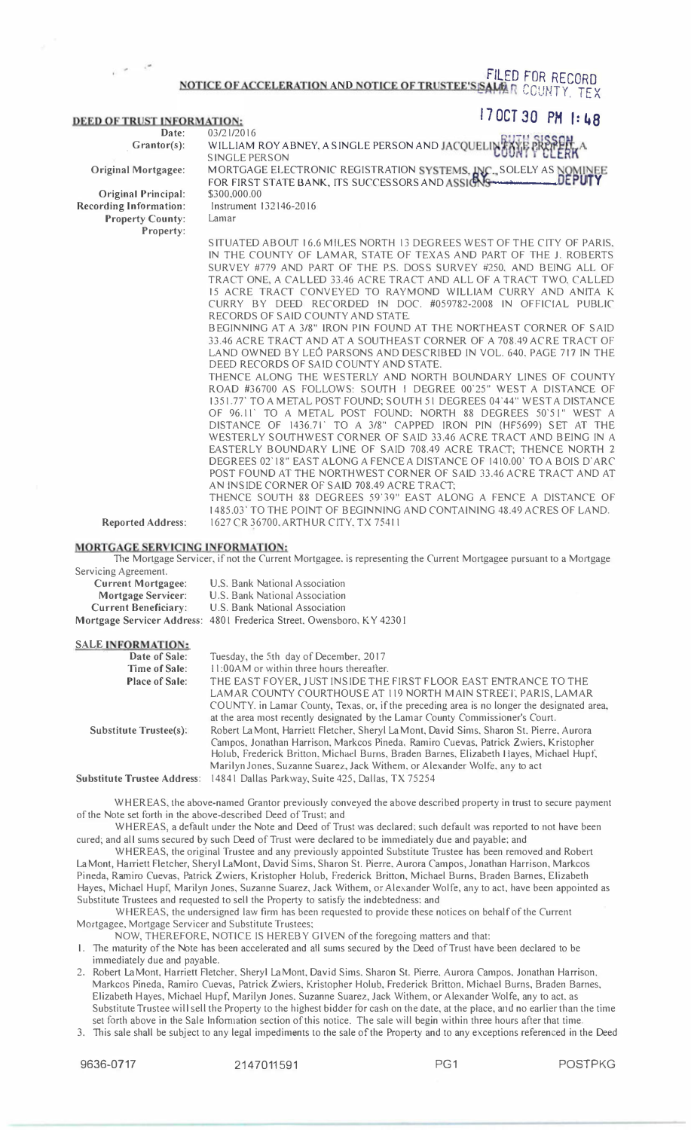## FILED FOR RECORD<br>Notice of acceleration and notice of trustee's same R COUNTY. TEX

| <b>DEED OF TRUST INFORMATION:</b> | $170C$ $T$ 30 PM $1:48$ |  |
|-----------------------------------|-------------------------|--|
|                                   |                         |  |

| Date:                         | 03/21/2016                                                            |
|-------------------------------|-----------------------------------------------------------------------|
| $Grantor(s):$                 | WILLIAM ROY ABNEY, A SINGLE PERSON AND JACQUELINEAVE                  |
|                               | <b>SINGLE PERSON</b>                                                  |
| <b>Original Mortgagee:</b>    | MORTGAGE ELECTRONIC REGISTRATION SYSTEMS, INC., SOLELY AS NOMINEE     |
|                               | FOR FIRST STATE BANK, ITS SUCCESSORS AND ASSIGNS                      |
| <b>Original Principal:</b>    | \$300,000.00                                                          |
| <b>Recording Information:</b> | Instrument 132146-2016                                                |
| <b>Property County:</b>       | Lamar                                                                 |
| Property:                     |                                                                       |
|                               | SITUATED ABOUT 16.6 MILES NORTH 13 DEGREES WEST OF THE CITY OF PARIS. |
|                               | IN THE COUNTY OF LAMAR, STATE OF TEXAS AND PART OF THE J. ROBERTS     |
|                               | SURVEY #779 AND PART OF THE P.S. DOSS SURVEY #250, AND BEING ALL OF   |
|                               | TRACT ONE. A CALLED 33.46 ACRE TRACT AND ALL OF A TRACT TWO, CALLED   |
|                               | 15 ACRE TRACT CONVEYED TO RAYMOND WILLIAM CURRY AND ANITA K           |
|                               | BY DEED RECORDED IN DOC. #059782-2008 IN OFFICIAL PUBLIC<br>CURRY     |

RECORDS OF SAID COUNTY AND STATE. BEGINNING AT A 3/8" IRON PIN FOUND AT THE NORTHEAST CORNER OF SAID 33.46 ACRE TRACT AND AT A SOUTHEAST CORNER OF A 708.49 ACRE TRACT OF LAND OWNED BY LEO PARSONS AND DESCRIBED IN VOL. 640, PAGE 717 IN THE DEED RECORDS OF SAID COUNTY AND STATE.

THENCE ALONG THE WESTERLY AND NORTH BOUNDARY LINES OF COUNTY ROAD #36700 AS FOLLOWS: SOUTH I DEGREE 00"25" WEST A DISTANCE OF 1351.77' TO A METAL POST FOUND; SOUTH 51 DEGREES 04"44" WEST A DISTANCE OF 96.11' TO A METAL POST FOUND: NORTH 88 DEGREES 50"5 I" WEST A DISTANCE OF 1436.71" TO A 3/8" CAPPED IRON PIN (HF5699) SET AT THE WESTERLY SOUTHWEST CORNER OF SAID 33.46 ACRE TRACT AND BEING IN A EASTERLY BOUNDARY LINE OF SAID 708.49 ACRE TRACT; THENCE NORTH 2 DEGREES 02" 18" EAST ALONG A FENCE A DISTANCE OF 1410.00' TO A BOIS D'ARC POST FOUND AT THE NORTHWEST CORNER OF SAID 33.46 ACRE TRACT AND AT AN INSIDE CORNER OF SAID 708.49 ACRE TRACT;

THENCE SOUTH 88 DEGREES 59"39" EAST ALONG A FENCE A DISTANCE OF 1485.03' TO THE POINT OF BEGINNING AND CONTAINING 48.49 ACRES OF LAND. 1627 CR 36700. ARTHUR CITY. TX 75411

## MORTGAGE SERVICING INFORMATION:

The Mortgage Servicer, if not the Current Mortgagee. is representing the Current Mortgagee pursuant to a Mortgage Servicing A greement.

| <b>Current Mortgagee:</b>   | U.S. Bank National Association                                        |
|-----------------------------|-----------------------------------------------------------------------|
| <b>Mortgage Servicer:</b>   | U.S. Bank National Association                                        |
| <b>Current Beneficiary:</b> | U.S. Bank National Association                                        |
|                             | Mortgage Servicer Address: 4801 Frederica Street, Owensboro, KY 42301 |

## SALE INFORMATION:

Reported Address:

| Tuesday, the 5th day of December, 2017                                                      |
|---------------------------------------------------------------------------------------------|
| 11:00 AM or within three hours thereafter.                                                  |
| THE EAST FOYER, JUST INSIDE THE FIRST FLOOR EAST ENTRANCE TO THE                            |
| LAMAR COUNTY COURTHOUSE AT 119 NORTH MAIN STREET, PARIS, LAMAR                              |
| COUNTY. in Lamar County, Texas, or, if the preceding area is no longer the designated area, |
| at the area most recently designated by the Lamar County Commissioner's Court.              |
| Robert La Mont, Harriett Fletcher, Sheryl La Mont, David Sims, Sharon St, Pierre, Aurora    |
| Campos, Jonathan Harrison, Markcos Pineda, Ramiro Cuevas, Patrick Zwiers, Kristopher        |
| Holub, Frederick Britton, Michael Burns, Braden Barnes, Elizabeth Hayes, Michael Hupf,      |
| Marilyn Jones, Suzanne Suarez, Jack Withem, or Alexander Wolfe, any to act                  |
| 14841 Dallas Parkway, Suite 425, Dallas, TX 75254<br><b>Substitute Trustee Address:</b>     |
|                                                                                             |

WHEREAS, the above-named Grantor previously conveyed the above described property in trust to secure payment of the Note set forth in the above-described Deed of Trust; and

WHEREAS, a default under the Note and Deed of Trust was declared: such default was reported to not have been cured; and all sums secured by such Deed of Trust were declared to be immediately due and payable; and

WHEREAS, the original Trustee and any previously appointed Substitute Trustee has been removed and Robert La Mont, Harriett Fletcher, Sheryl LaMont, David Sims, Sharon St. Pierre, Aurora Campos, Jonathan Harrison, Markcos Pineda, Ramiro Cuevas, Patrick Zwiers, Kristopher Holub, Frederick Britton, Michael Burns, Braden Barnes, Elizabeth Hayes, Michael Hupf, Marilyn Jones, Suzanne Suarez, Jack Withem, or Alexander Wolfe, any to act, have been appointed as Substitute Trustees and requested to sell the Property to satisfy the indebtedness; and

WHEREAS, the undersigned law firm has been requested to provide these notices on behalf of the Current Mortgagee, Mortgage Servicer and Substitute Trustees;

NOW, THEREFORE, NOTICE IS HEREBY GIVEN of the foregoing matters and that:

I. The maturity of the Note has been accelerated and all sums secured by the Deed of Trust have been declared to be immediately due and payable.

- 2. Robert LaMont, Harriett Fletcher, Sheryl LaMont, David Sims, Sharon St. Pierre, Aurora Campos, Jonathan Harrison, Markcos Pineda, Ramiro Cuevas, Patrick Zwiers, Kristopher Holub, Frederick Britton, Michael Burns, Braden Barnes, Elizabeth Hayes, Michael Hupf, Marilyn Jones, Suzanne Suarez, Jack Withem, or Alexander Wolfe, any to act, as Substitute Trustee will sell the Property to the highest bidder for cash on the date, at the place, and no earlier than the time set forth above in the Sale Information section of this notice. The sale will begin within three hours after that time.
- 3. This sale shall be subject to any legal impediments to the sale of the Property and to any exceptions referenced in the Deed